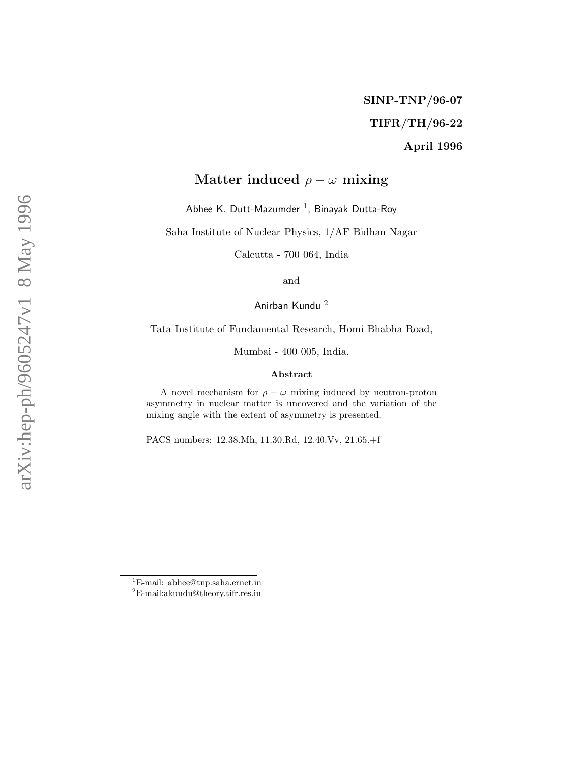April 1996

## Matter induced  $\rho - \omega$  mixing

Abhee K. Dutt-Mazumder  $^1$ , Binayak Dutta-Roy

Saha Institute of Nuclear Physics, 1/AF Bidhan Nagar

Calcutta - 700 064, India

and

Anirban Kundu <sup>2</sup>

Tata Institute of Fundamental Research, Homi Bhabha Road,

Mumbai - 400 005, India.

## Abstract

A novel mechanism for  $\rho - \omega$  mixing induced by neutron-proton asymmetry in nuclear matter is uncovered and the variation of the mixing angle with the extent of asymmetry is presented.

PACS numbers: 12.38.Mh, 11.30.Rd, 12.40.Vv, 21.65.+f

<sup>1</sup>E-mail: abhee@tnp.saha.ernet.in

<sup>2</sup>E-mail:akundu@theory.tifr.res.in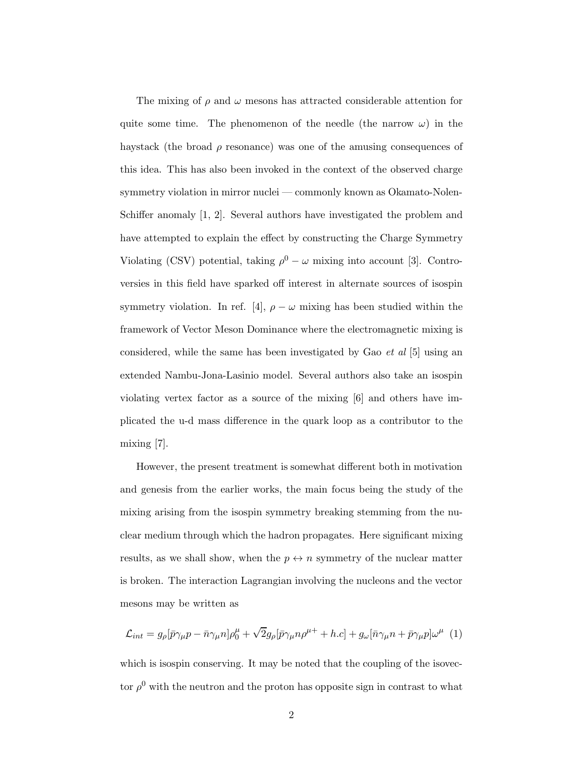The mixing of  $\rho$  and  $\omega$  mesons has attracted considerable attention for quite some time. The phenomenon of the needle (the narrow  $\omega$ ) in the haystack (the broad  $\rho$  resonance) was one of the amusing consequences of this idea. This has also been invoked in the context of the observed charge symmetry violation in mirror nuclei — commonly known as Okamato-Nolen-Schiffer anomaly [1, 2]. Several authors have investigated the problem and have attempted to explain the effect by constructing the Charge Symmetry Violating (CSV) potential, taking  $\rho^0 - \omega$  mixing into account [3]. Controversies in this field have sparked off interest in alternate sources of isospin symmetry violation. In ref. [4],  $\rho - \omega$  mixing has been studied within the framework of Vector Meson Dominance where the electromagnetic mixing is considered, while the same has been investigated by Gao  $et$  al [5] using an extended Nambu-Jona-Lasinio model. Several authors also take an isospin violating vertex factor as a source of the mixing [6] and others have implicated the u-d mass difference in the quark loop as a contributor to the mixing [7].

However, the present treatment is somewhat different both in motivation and genesis from the earlier works, the main focus being the study of the mixing arising from the isospin symmetry breaking stemming from the nuclear medium through which the hadron propagates. Here significant mixing results, as we shall show, when the  $p \leftrightarrow n$  symmetry of the nuclear matter is broken. The interaction Lagrangian involving the nucleons and the vector mesons may be written as

$$
\mathcal{L}_{int} = g_{\rho}[\bar{p}\gamma_{\mu}p - \bar{n}\gamma_{\mu}n]\rho_{0}^{\mu} + \sqrt{2}g_{\rho}[\bar{p}\gamma_{\mu}n\rho^{\mu+} + h.c] + g_{\omega}[\bar{n}\gamma_{\mu}n + \bar{p}\gamma_{\mu}p]\omega^{\mu} \tag{1}
$$

which is isospin conserving. It may be noted that the coupling of the isovector  $\rho^0$  with the neutron and the proton has opposite sign in contrast to what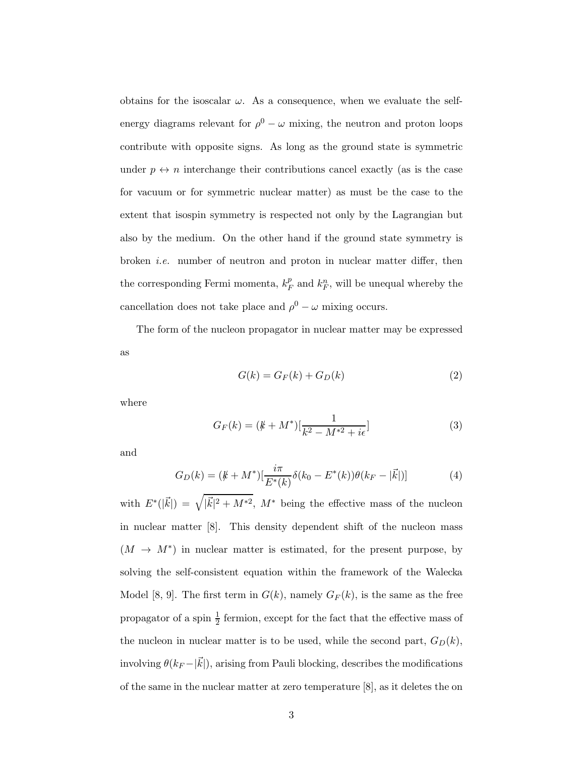obtains for the isoscalar  $\omega$ . As a consequence, when we evaluate the selfenergy diagrams relevant for  $\rho^0 - \omega$  mixing, the neutron and proton loops contribute with opposite signs. As long as the ground state is symmetric under  $p \leftrightarrow n$  interchange their contributions cancel exactly (as is the case for vacuum or for symmetric nuclear matter) as must be the case to the extent that isospin symmetry is respected not only by the Lagrangian but also by the medium. On the other hand if the ground state symmetry is broken i.e. number of neutron and proton in nuclear matter differ, then the corresponding Fermi momenta,  $k_F^p$  $_{F}^{p}$  and  $k_{F}^{n}$ , will be unequal whereby the cancellation does not take place and  $\rho^0 - \omega$  mixing occurs.

The form of the nucleon propagator in nuclear matter may be expressed as

$$
G(k) = G_F(k) + G_D(k)
$$
\n<sup>(2)</sup>

where

$$
G_F(k) = (\n\! + M^*) \left[ \frac{1}{k^2 - M^{*2} + i\epsilon} \right] \tag{3}
$$

and

$$
G_D(k) = (\not k + M^*) \left[ \frac{i\pi}{E^*(k)} \delta(k_0 - E^*(k)) \theta(k_F - |\vec{k}|) \right] \tag{4}
$$

with  $E^*(|\vec{k}|) = \sqrt{|\vec{k}|^2 + M^{*2}}$ ,  $M^*$  being the effective mass of the nucleon in nuclear matter [8]. This density dependent shift of the nucleon mass  $(M \rightarrow M^*)$  in nuclear matter is estimated, for the present purpose, by solving the self-consistent equation within the framework of the Walecka Model [8, 9]. The first term in  $G(k)$ , namely  $G_F(k)$ , is the same as the free propagator of a spin  $\frac{1}{2}$  fermion, except for the fact that the effective mass of the nucleon in nuclear matter is to be used, while the second part,  $G_D(k)$ , involving  $\theta(k_F - |\vec{k}|)$ , arising from Pauli blocking, describes the modifications of the same in the nuclear matter at zero temperature [8], as it deletes the on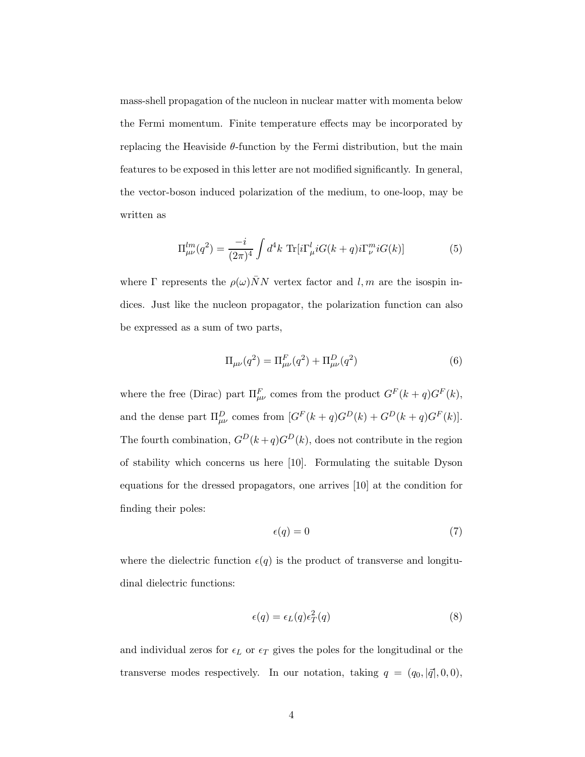mass-shell propagation of the nucleon in nuclear matter with momenta below the Fermi momentum. Finite temperature effects may be incorporated by replacing the Heaviside  $\theta$ -function by the Fermi distribution, but the main features to be exposed in this letter are not modified significantly. In general, the vector-boson induced polarization of the medium, to one-loop, may be written as

$$
\Pi_{\mu\nu}^{lm}(q^2) = \frac{-i}{(2\pi)^4} \int d^4k \ \text{Tr}[i\Gamma_\mu^l i G(k+q)i\Gamma_\nu^m i G(k)] \tag{5}
$$

where  $\Gamma$  represents the  $\rho(\omega)\bar{N}N$  vertex factor and l, m are the isospin indices. Just like the nucleon propagator, the polarization function can also be expressed as a sum of two parts,

$$
\Pi_{\mu\nu}(q^2) = \Pi_{\mu\nu}^F(q^2) + \Pi_{\mu\nu}^D(q^2)
$$
\n(6)

where the free (Dirac) part  $\Pi_{\mu\nu}^F$  comes from the product  $G^F(k+q)G^F(k)$ , and the dense part  $\Pi_{\mu\nu}^D$  comes from  $[G^F(k+q)G^D(k)+G^D(k+q)G^F(k)].$ The fourth combination,  $G^D(k+q)G^D(k)$ , does not contribute in the region of stability which concerns us here [10]. Formulating the suitable Dyson equations for the dressed propagators, one arrives [10] at the condition for finding their poles:

$$
\epsilon(q) = 0 \tag{7}
$$

where the dielectric function  $\epsilon(q)$  is the product of transverse and longitudinal dielectric functions:

$$
\epsilon(q) = \epsilon_L(q)\epsilon_T^2(q) \tag{8}
$$

and individual zeros for  $\epsilon_L$  or  $\epsilon_T$  gives the poles for the longitudinal or the transverse modes respectively. In our notation, taking  $q = (q_0, |\vec{q}|, 0, 0)$ ,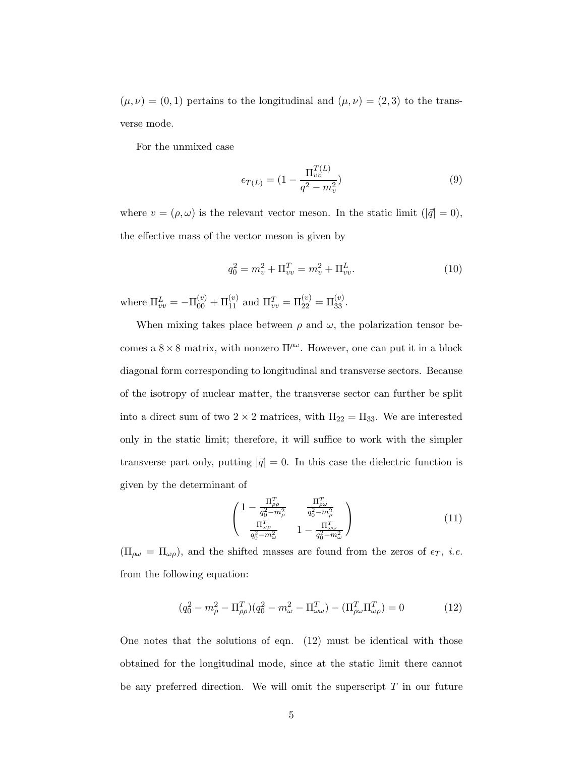$(\mu, \nu) = (0, 1)$  pertains to the longitudinal and  $(\mu, \nu) = (2, 3)$  to the transverse mode.

For the unmixed case

$$
\epsilon_{T(L)} = (1 - \frac{\Pi_{vv}^{T(L)}}{q^2 - m_v^2})
$$
\n(9)

where  $v = (\rho, \omega)$  is the relevant vector meson. In the static limit  $(|\vec{q}| = 0)$ , the effective mass of the vector meson is given by

$$
q_0^2 = m_v^2 + \Pi_{vv}^T = m_v^2 + \Pi_{vv}^L.
$$
 (10)

where  $\Pi_{vv}^L = -\Pi_{00}^{(v)} + \Pi_{11}^{(v)}$  and  $\Pi_{vv}^T = \Pi_{22}^{(v)} = \Pi_{33}^{(v)}$ .

When mixing takes place between  $\rho$  and  $\omega$ , the polarization tensor becomes a  $8 \times 8$  matrix, with nonzero  $\Pi^{\rho\omega}$ . However, one can put it in a block diagonal form corresponding to longitudinal and transverse sectors. Because of the isotropy of nuclear matter, the transverse sector can further be split into a direct sum of two  $2 \times 2$  matrices, with  $\Pi_{22} = \Pi_{33}$ . We are interested only in the static limit; therefore, it will suffice to work with the simpler transverse part only, putting  $|\vec{q}| = 0$ . In this case the dielectric function is given by the determinant of

$$
\begin{pmatrix}\n1 - \frac{\Pi_{\rho\rho}^T}{q_0^2 - m_\rho^2} & \frac{\Pi_{\rho\omega}^T}{q_0^2 - m_\rho^2} \\
\frac{\Pi_{\omega\rho}^T}{q_0^2 - m_\omega^2} & 1 - \frac{\Pi_{\omega\omega}^T}{q_0^2 - m_\omega^2}\n\end{pmatrix}
$$
\n(11)

 $(\Pi_{\rho\omega} = \Pi_{\omega\rho})$ , and the shifted masses are found from the zeros of  $\epsilon_T$ , *i.e.* from the following equation:

$$
(q_0^2 - m_\rho^2 - \Pi_{\rho\rho}^T)(q_0^2 - m_\omega^2 - \Pi_{\omega\omega}^T) - (\Pi_{\rho\omega}^T \Pi_{\omega\rho}^T) = 0
$$
 (12)

One notes that the solutions of eqn. (12) must be identical with those obtained for the longitudinal mode, since at the static limit there cannot be any preferred direction. We will omit the superscript  $T$  in our future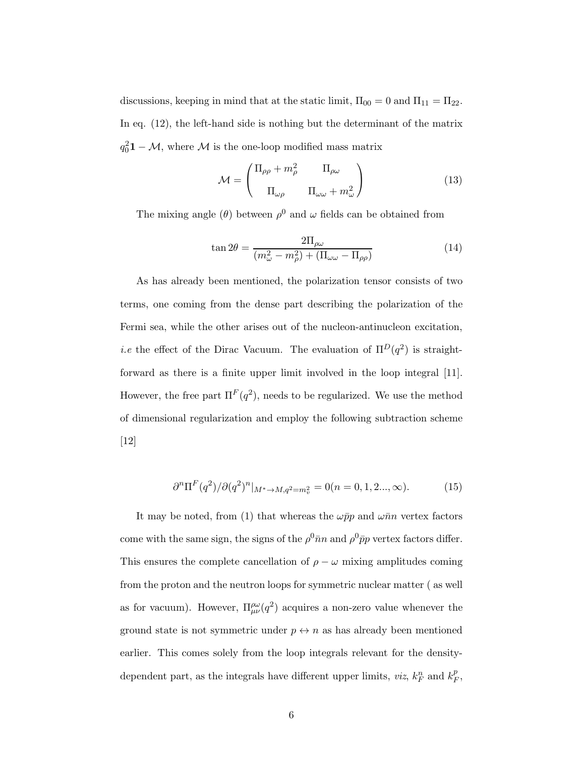discussions, keeping in mind that at the static limit,  $\Pi_{00} = 0$  and  $\Pi_{11} = \Pi_{22}$ . In eq. (12), the left-hand side is nothing but the determinant of the matrix  $q_0^2\mathbf{1} - \mathcal{M}$ , where  $\mathcal M$  is the one-loop modified mass matrix

$$
\mathcal{M} = \begin{pmatrix} \Pi_{\rho\rho} + m_{\rho}^2 & \Pi_{\rho\omega} \\ \Pi_{\omega\rho} & \Pi_{\omega\omega} + m_{\omega}^2 \end{pmatrix}
$$
(13)

The mixing angle  $(\theta)$  between  $\rho^0$  and  $\omega$  fields can be obtained from

$$
\tan 2\theta = \frac{2\Pi_{\rho\omega}}{(m_{\omega}^2 - m_{\rho}^2) + (\Pi_{\omega\omega} - \Pi_{\rho\rho})}
$$
(14)

As has already been mentioned, the polarization tensor consists of two terms, one coming from the dense part describing the polarization of the Fermi sea, while the other arises out of the nucleon-antinucleon excitation, *i.e* the effect of the Dirac Vacuum. The evaluation of  $\Pi^D(q^2)$  is straightforward as there is a finite upper limit involved in the loop integral [11]. However, the free part  $\Pi^F(q^2)$ , needs to be regularized. We use the method of dimensional regularization and employ the following subtraction scheme [12]

$$
\partial^n \Pi^F(q^2) / \partial (q^2)^n |_{M^* \to M, q^2 = m_v^2} = 0(n = 0, 1, 2..., \infty). \tag{15}
$$

It may be noted, from (1) that whereas the  $\omega \bar{p}p$  and  $\omega \bar{n}n$  vertex factors come with the same sign, the signs of the  $\rho^0 \bar{n} n$  and  $\rho^0 \bar{p} p$  vertex factors differ. This ensures the complete cancellation of  $\rho - \omega$  mixing amplitudes coming from the proton and the neutron loops for symmetric nuclear matter ( as well as for vacuum). However,  $\Pi_{\mu\nu}^{\rho\omega}(q^2)$  acquires a non-zero value whenever the ground state is not symmetric under  $p \leftrightarrow n$  as has already been mentioned earlier. This comes solely from the loop integrals relevant for the densitydependent part, as the integrals have different upper limits,  $viz$ ,  $k_F^n$  and  $k_F^p$  $^p_F,$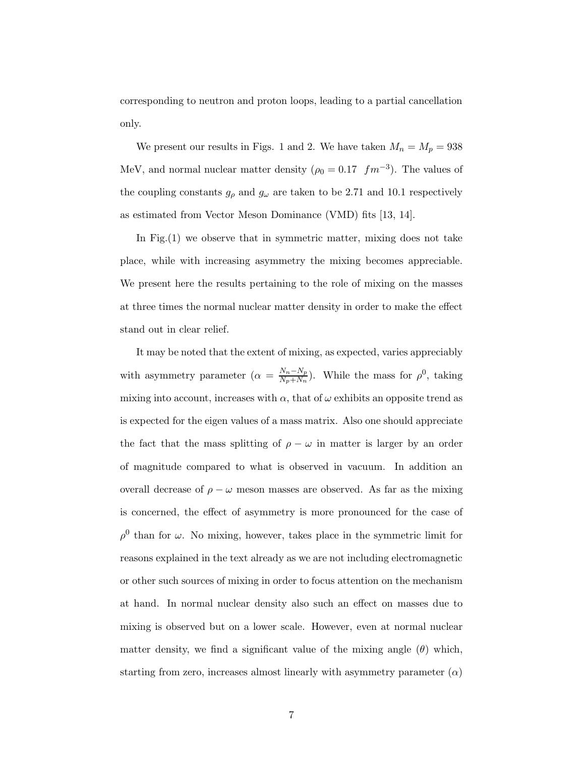corresponding to neutron and proton loops, leading to a partial cancellation only.

We present our results in Figs. 1 and 2. We have taken  $M_n = M_p = 938$ MeV, and normal nuclear matter density  $(\rho_0 = 0.17 \text{ fm}^{-3})$ . The values of the coupling constants  $g_{\rho}$  and  $g_{\omega}$  are taken to be 2.71 and 10.1 respectively as estimated from Vector Meson Dominance (VMD) fits [13, 14].

In Fig.(1) we observe that in symmetric matter, mixing does not take place, while with increasing asymmetry the mixing becomes appreciable. We present here the results pertaining to the role of mixing on the masses at three times the normal nuclear matter density in order to make the effect stand out in clear relief.

It may be noted that the extent of mixing, as expected, varies appreciably with asymmetry parameter  $\left(\alpha = \frac{N_n - N_p}{N_n + N_p}\right)$  $\frac{N_n - N_p}{N_p + N_n}$ ). While the mass for  $\rho^0$ , taking mixing into account, increases with  $\alpha$ , that of  $\omega$  exhibits an opposite trend as is expected for the eigen values of a mass matrix. Also one should appreciate the fact that the mass splitting of  $\rho - \omega$  in matter is larger by an order of magnitude compared to what is observed in vacuum. In addition an overall decrease of  $\rho - \omega$  meson masses are observed. As far as the mixing is concerned, the effect of asymmetry is more pronounced for the case of  $\rho^0$  than for  $\omega$ . No mixing, however, takes place in the symmetric limit for reasons explained in the text already as we are not including electromagnetic or other such sources of mixing in order to focus attention on the mechanism at hand. In normal nuclear density also such an effect on masses due to mixing is observed but on a lower scale. However, even at normal nuclear matter density, we find a significant value of the mixing angle  $(\theta)$  which, starting from zero, increases almost linearly with asymmetry parameter  $(\alpha)$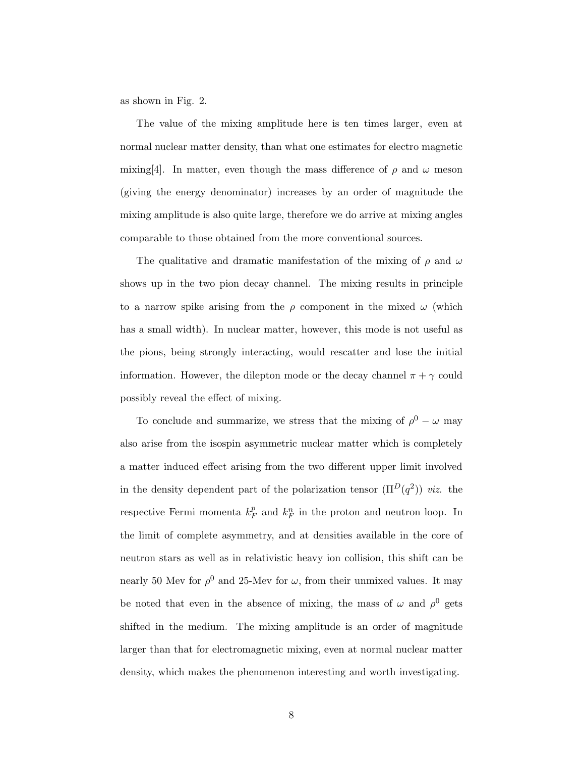as shown in Fig. 2.

The value of the mixing amplitude here is ten times larger, even at normal nuclear matter density, than what one estimates for electro magnetic mixing [4]. In matter, even though the mass difference of  $\rho$  and  $\omega$  meson (giving the energy denominator) increases by an order of magnitude the mixing amplitude is also quite large, therefore we do arrive at mixing angles comparable to those obtained from the more conventional sources.

The qualitative and dramatic manifestation of the mixing of  $\rho$  and  $\omega$ shows up in the two pion decay channel. The mixing results in principle to a narrow spike arising from the  $\rho$  component in the mixed  $\omega$  (which has a small width). In nuclear matter, however, this mode is not useful as the pions, being strongly interacting, would rescatter and lose the initial information. However, the dilepton mode or the decay channel  $\pi + \gamma$  could possibly reveal the effect of mixing.

To conclude and summarize, we stress that the mixing of  $\rho^0 - \omega$  may also arise from the isospin asymmetric nuclear matter which is completely a matter induced effect arising from the two different upper limit involved in the density dependent part of the polarization tensor  $(\Pi^D(q^2))$  viz. the respective Fermi momenta  $k_F^p$  $\frac{p}{F}$  and  $k_F^n$  in the proton and neutron loop. In the limit of complete asymmetry, and at densities available in the core of neutron stars as well as in relativistic heavy ion collision, this shift can be nearly 50 Mev for  $\rho^0$  and 25-Mev for  $\omega$ , from their unmixed values. It may be noted that even in the absence of mixing, the mass of  $\omega$  and  $\rho^0$  gets shifted in the medium. The mixing amplitude is an order of magnitude larger than that for electromagnetic mixing, even at normal nuclear matter density, which makes the phenomenon interesting and worth investigating.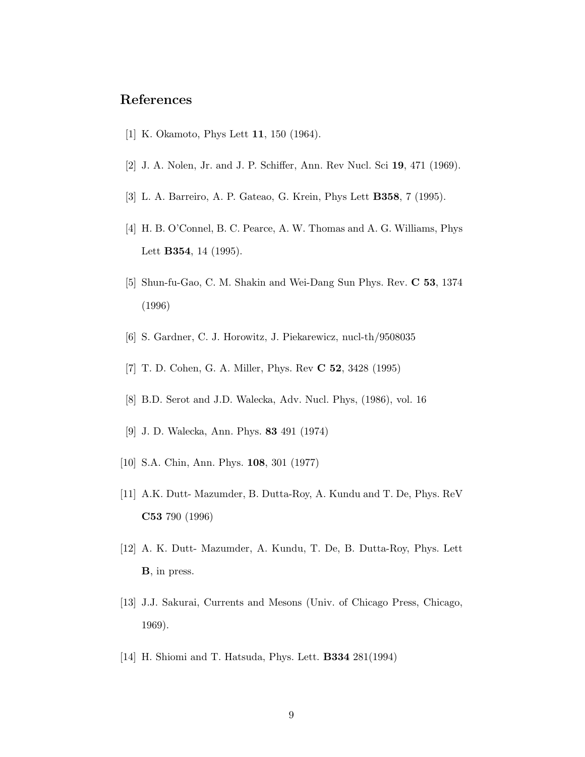## References

- [1] K. Okamoto, Phys Lett 11, 150 (1964).
- [2] J. A. Nolen, Jr. and J. P. Schiffer, Ann. Rev Nucl. Sci 19, 471 (1969).
- [3] L. A. Barreiro, A. P. Gateao, G. Krein, Phys Lett B358, 7 (1995).
- [4] H. B. O'Connel, B. C. Pearce, A. W. Thomas and A. G. Williams, Phys Lett B354, 14 (1995).
- [5] Shun-fu-Gao, C. M. Shakin and Wei-Dang Sun Phys. Rev. C 53, 1374 (1996)
- [6] S. Gardner, C. J. Horowitz, J. Piekarewicz, nucl-th/9508035
- [7] T. D. Cohen, G. A. Miller, Phys. Rev C 52, 3428 (1995)
- [8] B.D. Serot and J.D. Walecka, Adv. Nucl. Phys, (1986), vol. 16
- [9] J. D. Walecka, Ann. Phys. 83 491 (1974)
- [10] S.A. Chin, Ann. Phys. 108, 301 (1977)
- [11] A.K. Dutt- Mazumder, B. Dutta-Roy, A. Kundu and T. De, Phys. ReV C53 790 (1996)
- [12] A. K. Dutt- Mazumder, A. Kundu, T. De, B. Dutta-Roy, Phys. Lett B, in press.
- [13] J.J. Sakurai, Currents and Mesons (Univ. of Chicago Press, Chicago, 1969).
- [14] H. Shiomi and T. Hatsuda, Phys. Lett. B334 281(1994)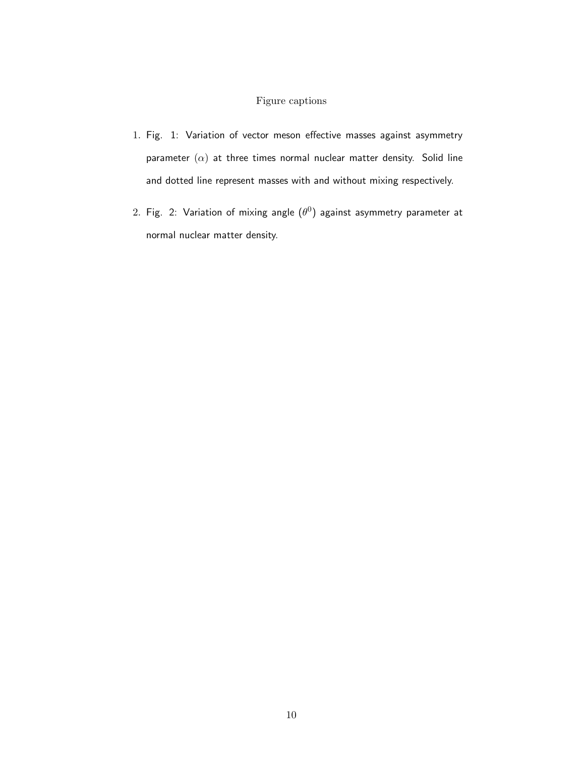## Figure captions

- 1. Fig. 1: Variation of vector meson effective masses against asymmetry parameter  $(\alpha)$  at three times normal nuclear matter density. Solid line and dotted line represent masses with and without mixing respectively.
- 2. Fig. 2: Variation of mixing angle  $(\theta^0)$  against asymmetry parameter at normal nuclear matter density.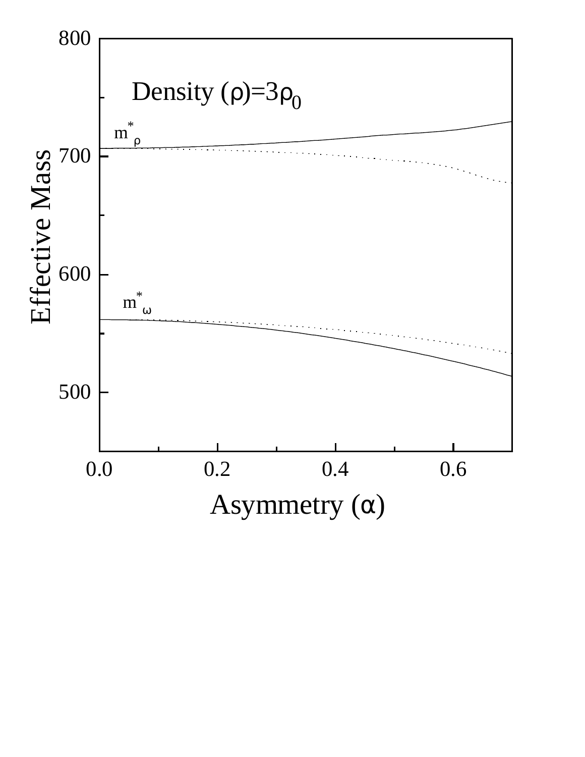